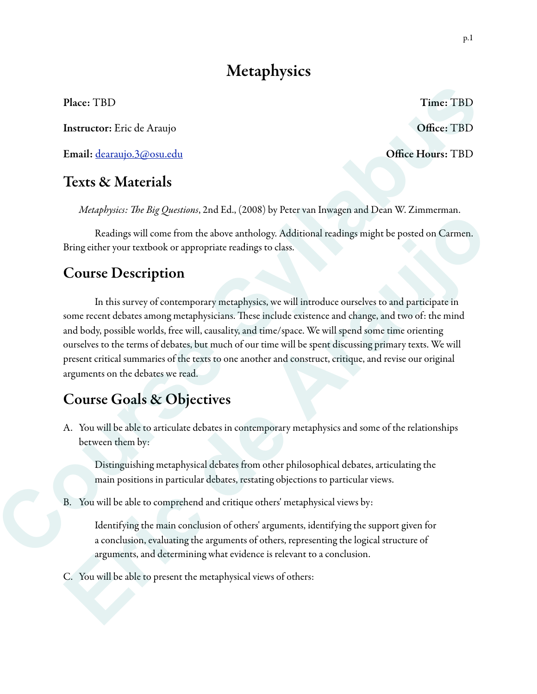# **Metaphysics**

Place: TBD Time: TBD

Instructor: Eric de Araujo **Office: TBD** 

Email: [dearaujo.3@osu.edu](mailto:dearaujo.3@osu.edu) Office Hours: TBD

# Texts & Materials

*Metaphysics:* T*e Big Questions*, 2nd Ed., (2008) by Peter van Inwagen and Dean W. Zimmerman.

 Readings will come from the above anthology. Additional readings might be posted on Carmen. Bring either your textbook or appropriate readings to class.

# Course Description

 In this survey of contemporary metaphysics, we will introduce ourselves to and participate in some recent debates among metaphysicians. These include existence and change, and two of: the mind and body, possible worlds, free will, causality, and time/space. We will spend some time orienting ourselves to the terms of debates, but much of our time will be spent discussing primary texts. We will present critical summaries of the texts to one another and construct, critique, and revise our original arguments on the debates we read. ourselves to the terms of debates, but much of<br>present critical summaries of the texts to one a<br>arguments on the debates we read.<br>**Course Goals & Objectives**<br>A. You will be able to articulate debates in co<br>between them by: Time: TBD<br> **Office: TBD**<br> **Syllabus Confident Educe Syllabus Confident Syllabus 2016**<br>
Parallel, (2008) by Peter van Inwagen and Dean W. Zimmerman.<br>
parabove anthology. Additional readings might be posted on Carmen.<br>
parat **Example 20** and the proposition and the search of the arabigon and the search of canonical behaviors. By a general behavior textbook or appropriate readings calses.<br> **ECOUTSC Description**<br>
In this survey of contemporary m

# Course Goals & Objectives

A. You will be able to articulate debates in contemporary metaphysics and some of the relationships between them by:

Distinguishing metaphysical debates from other philosophical debates, articulating the main positions in particular debates, restating objections to particular views.

B. You will be able to comprehend and critique others' metaphysical views by:

Identifying the main conclusion of others' arguments, identifying the support given for a conclusion, evaluating the arguments of others, representing the logical structure of arguments, and determining what evidence is relevant to a conclusion.

C. You will be able to present the metaphysical views of others: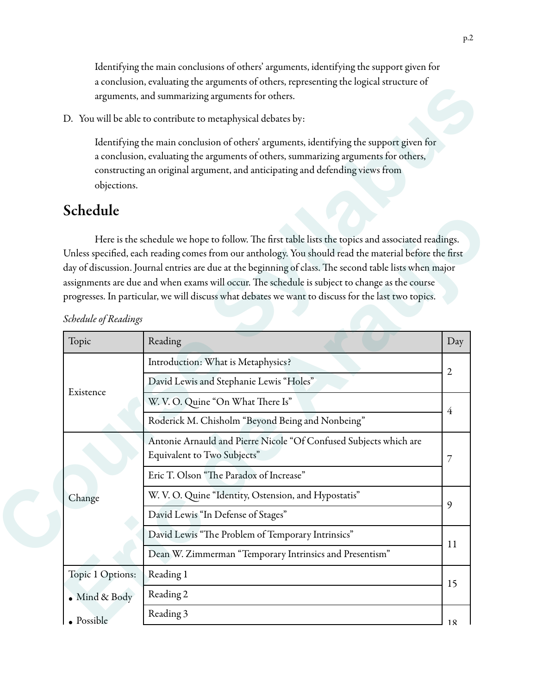Identifying the main conclusions of others' arguments, identifying the support given for a conclusion, evaluating the arguments of others, representing the logical structure of arguments, and summarizing arguments for others.

## Schedule

|                      | a conclusion, cvaluating the arguments of others, representing the logical structure of<br>arguments, and summarizing arguments for others.                                                                                                                                                                                                                                                                                                                                                                                     |                |  |
|----------------------|---------------------------------------------------------------------------------------------------------------------------------------------------------------------------------------------------------------------------------------------------------------------------------------------------------------------------------------------------------------------------------------------------------------------------------------------------------------------------------------------------------------------------------|----------------|--|
|                      | D. You will be able to contribute to metaphysical debates by:                                                                                                                                                                                                                                                                                                                                                                                                                                                                   |                |  |
| objections.          | Identifying the main conclusion of others' arguments, identifying the support given for<br>a conclusion, evaluating the arguments of others, summarizing arguments for others,<br>constructing an original argument, and anticipating and defending views from                                                                                                                                                                                                                                                                  |                |  |
| Schedule             |                                                                                                                                                                                                                                                                                                                                                                                                                                                                                                                                 |                |  |
| Schedule of Readings | Here is the schedule we hope to follow. The first table lists the topics and associated readings.<br>Unless specified, each reading comes from our anthology. You should read the material before the first<br>day of discussion. Journal entries are due at the beginning of class. The second table lists when major<br>assignments are due and when exams will occur. The schedule is subject to change as the course<br>progresses. In particular, we will discuss what debates we want to discuss for the last two topics. |                |  |
| Topic                | Reading                                                                                                                                                                                                                                                                                                                                                                                                                                                                                                                         | Day            |  |
|                      | Introduction: What is Metaphysics?                                                                                                                                                                                                                                                                                                                                                                                                                                                                                              | $\overline{2}$ |  |
|                      | David Lewis and Stephanie Lewis "Holes"                                                                                                                                                                                                                                                                                                                                                                                                                                                                                         |                |  |
| Existence            | W. V. O. Quine "On What There Is"                                                                                                                                                                                                                                                                                                                                                                                                                                                                                               |                |  |
|                      | Roderick M. Chisholm "Beyond Being and Nonbeing"                                                                                                                                                                                                                                                                                                                                                                                                                                                                                | $\overline{4}$ |  |
|                      | Antonie Arnauld and Pierre Nicole "Of Confused Subjects which are<br>Equivalent to Two Subjects"                                                                                                                                                                                                                                                                                                                                                                                                                                |                |  |
| Change               | Eric T. Olson "The Paradox of Increase"                                                                                                                                                                                                                                                                                                                                                                                                                                                                                         |                |  |
|                      | W. V. O. Quine "Identity, Ostension, and Hypostatis"                                                                                                                                                                                                                                                                                                                                                                                                                                                                            | 9              |  |
|                      |                                                                                                                                                                                                                                                                                                                                                                                                                                                                                                                                 |                |  |
|                      | David Lewis "In Defense of Stages"                                                                                                                                                                                                                                                                                                                                                                                                                                                                                              |                |  |
|                      | David Lewis "The Problem of Temporary Intrinsics"                                                                                                                                                                                                                                                                                                                                                                                                                                                                               |                |  |
|                      | Dean W. Zimmerman "Temporary Intrinsics and Presentism"                                                                                                                                                                                                                                                                                                                                                                                                                                                                         | 11             |  |
| Topic 1 Options:     | Reading 1                                                                                                                                                                                                                                                                                                                                                                                                                                                                                                                       |                |  |
| Mind & Body          | Reading 2                                                                                                                                                                                                                                                                                                                                                                                                                                                                                                                       | 15             |  |
| · Possible           | Reading 3                                                                                                                                                                                                                                                                                                                                                                                                                                                                                                                       | 18             |  |

*Schedule of Readings*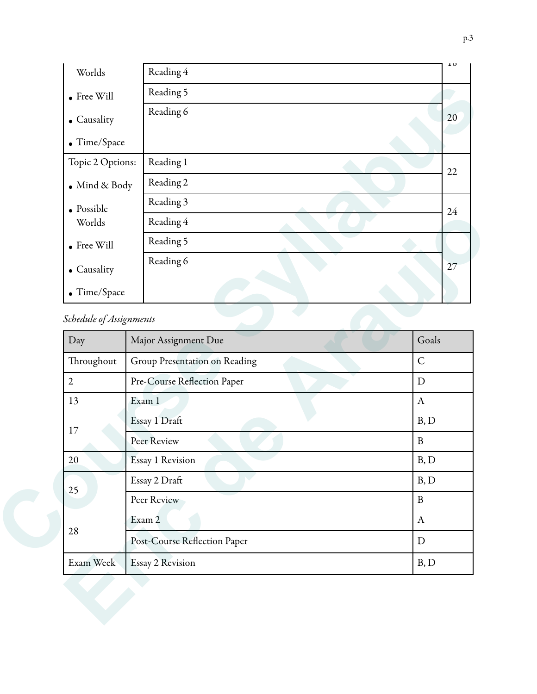| Worlds                  | Reading 4            | 10    |
|-------------------------|----------------------|-------|
| $\bullet$ Free Will     | Reading 5            |       |
| • Causality             | Reading 6            | 20    |
| • Time/Space            |                      |       |
| Topic 2 Options:        | Reading 1            | 22    |
| $\bullet$ Mind & Body   | Reading 2            |       |
| $\bullet$ Possible      | Reading 3            | 24    |
| Worlds                  | Reading 4            |       |
| $\bullet$ Free Will     | Reading 5            |       |
| • Causality             | Reading 6            | 27    |
| $\bullet$ Time/Space    |                      |       |
| Schedule of Assignments |                      |       |
| Day                     | Major Assignment Due | Goals |

| Worlds                  | Reading 4                     |                           |
|-------------------------|-------------------------------|---------------------------|
| $\bullet$ Free Will     | Reading 5                     |                           |
| • Causality             | Reading 6                     |                           |
| $\bullet$ Time/Space    |                               |                           |
| Schedule of Assignments |                               |                           |
| Day                     | Major Assignment Due          | Goals                     |
| Throughout              | Group Presentation on Reading | $\overline{C}$            |
| $\overline{2}$          | Pre-Course Reflection Paper   | $\mathbf D$               |
| 13                      | Exam 1                        | $\mathbf{A}$              |
| 17                      | Essay 1 Draft                 | B, D                      |
|                         | Peer Review                   | $\, {\bf B}$              |
| 20                      | Essay 1 Revision              | B, D                      |
| 25                      | Essay 2 Draft                 |                           |
|                         | Peer Review                   | $\, {\bf B}$              |
| 28                      | Exam 2                        | $\boldsymbol{\mathrm{A}}$ |
|                         | Post-Course Reflection Paper  | ${\rm D}$                 |
| Exam Week               | Essay 2 Revision              | B, D                      |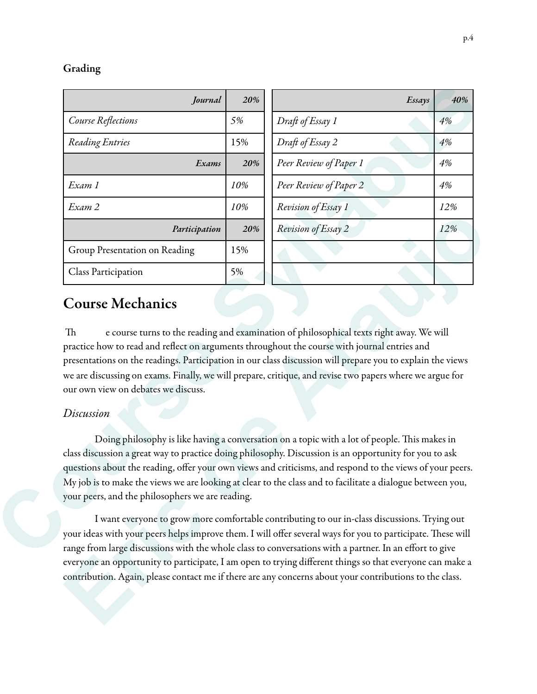#### Grading

| Course Reflections<br>Reading Entries |               | 20% | Essays                                                                                                                                                                                                                 | 40% |
|---------------------------------------|---------------|-----|------------------------------------------------------------------------------------------------------------------------------------------------------------------------------------------------------------------------|-----|
|                                       |               | 5%  | Draft of Essay 1                                                                                                                                                                                                       | 4%  |
|                                       |               | 15% | Draft of Essay 2                                                                                                                                                                                                       | 4%  |
|                                       | Exams         | 20% | Peer Review of Paper 1                                                                                                                                                                                                 | 4%  |
| Exam 1                                |               | 10% | Peer Review of Paper 2                                                                                                                                                                                                 | 4%  |
| Exam 2                                |               | 10% | Revision of Essay 1                                                                                                                                                                                                    | 12% |
|                                       | Participation | 20% | Revision of Essay 2                                                                                                                                                                                                    | 12% |
| Group Presentation on Reading         |               | 15% |                                                                                                                                                                                                                        |     |
| <b>Class Participation</b>            |               | 5%  |                                                                                                                                                                                                                        |     |
| our own view on debates we discuss.   |               |     | presentations on the readings. Participation in our class discussion will prepare you to explain the views<br>we are discussing on exams. Finally, we will prepare, critique, and revise two papers where we argue for |     |
|                                       |               |     |                                                                                                                                                                                                                        |     |

## Course Mechanics

#### *Discussion*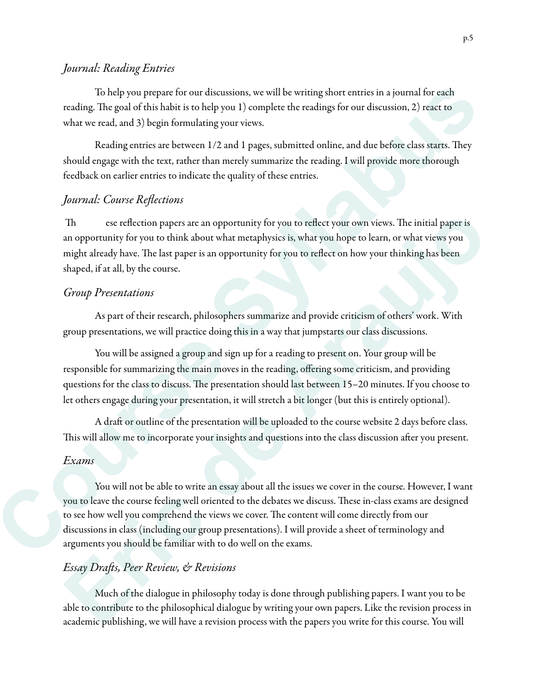### *Journal: Reading Entries*

 To help you prepare for our discussions, we will be writing short entries in a journal for each reading. The goal of this habit is to help you 1) complete the readings for our discussion, 2) react to what we read, and 3) begin formulating your views.

Reading entries are between 1/2 and 1 pages, submitted online, and due before class starts. They should engage with the text, rather than merely summarize the reading. I will provide more thorough feedback on earlier entries to indicate the quality of these entries.

#### *Journal: Course Re*fl*ections*

Th ese reflection papers are an opportunity for you to reflect your own views. The initial paper is an opportunity for you to think about what metaphysics is, what you hope to learn, or what views you might already have. The last paper is an opportunity for you to reflect on how your thinking has been shaped, if at all, by the course.

#### *Group Presentations*

 As part of their research, philosophers summarize and provide criticism of others' work. With group presentations, we will practice doing this in a way that jumpstarts our class discussions.

 You will be assigned a group and sign up for a reading to present on. Your group will be responsible for summarizing the main moves in the reading, offering some criticism, and providing questions for the class to discuss. The presentation should last between 15–20 minutes. If you choose to let others engage during your presentation, it will stretch a bit longer (but this is entirely optional).

A draft or outline of the presentation will be uploaded to the course website 2 days before class. This will allow me to incorporate your insights and questions into the class discussion after you present.

#### *Exams*

You will not be able to write an essay about all the issues we cover in the course. However, I want you to leave the course feeling well oriented to the debates we discuss. These in-class exams are designed to see how well you comprehend the views we cover. The content will come directly from our discussions in class (including our group presentations). I will provide a sheet of terminology and arguments you should be familiar with to do well on the exams. To the<br>lip you propare for our decays<br>integrals of existing short entries in a journal for easing the<br>stars in good of this habita to to do joint in the course of the stars<br>of the action of the stars of the stars of the s The servelection papers are an opportunity for you to reflect your own views. The initial paper is<br>an opportunity for you to think about what metaphysics is, what you hope to learn, or what views you<br>might already hove. Th

#### *Essay Dra*f*s, Peer Review, & Revisions*

Much of the dialogue in philosophy today is done through publishing papers. I want you to be able to contribute to the philosophical dialogue by writing your own papers. Like the revision process in academic publishing, we will have a revision process with the papers you write for this course. You will